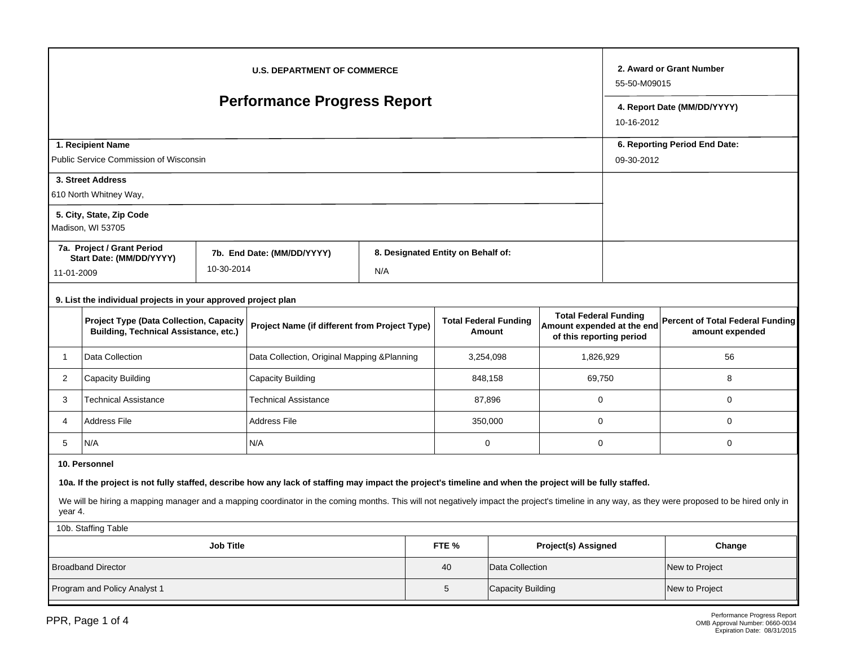| <b>U.S. DEPARTMENT OF COMMERCE</b>                                                                                                                                                                          |                                                               |                                               |                            |     |                                        |                                    |                                                                                        |             | 2. Award or Grant Number<br>55-50-M09015                   |                                           |  |  |
|-------------------------------------------------------------------------------------------------------------------------------------------------------------------------------------------------------------|---------------------------------------------------------------|-----------------------------------------------|----------------------------|-----|----------------------------------------|------------------------------------|----------------------------------------------------------------------------------------|-------------|------------------------------------------------------------|-------------------------------------------|--|--|
| <b>Performance Progress Report</b>                                                                                                                                                                          |                                                               |                                               |                            |     |                                        |                                    |                                                                                        |             |                                                            | 4. Report Date (MM/DD/YYYY)<br>10-16-2012 |  |  |
| 1. Recipient Name                                                                                                                                                                                           |                                                               |                                               |                            |     |                                        |                                    |                                                                                        |             |                                                            | 6. Reporting Period End Date:             |  |  |
|                                                                                                                                                                                                             | Public Service Commission of Wisconsin                        | 09-30-2012                                    |                            |     |                                        |                                    |                                                                                        |             |                                                            |                                           |  |  |
|                                                                                                                                                                                                             | 3. Street Address                                             |                                               |                            |     |                                        |                                    |                                                                                        |             |                                                            |                                           |  |  |
|                                                                                                                                                                                                             | 610 North Whitney Way,                                        |                                               |                            |     |                                        |                                    |                                                                                        |             |                                                            |                                           |  |  |
|                                                                                                                                                                                                             | 5. City, State, Zip Code<br>Madison, WI 53705                 |                                               |                            |     |                                        |                                    |                                                                                        |             |                                                            |                                           |  |  |
|                                                                                                                                                                                                             | 7a. Project / Grant Period                                    |                                               | 7b. End Date: (MM/DD/YYYY) |     |                                        | 8. Designated Entity on Behalf of: |                                                                                        |             |                                                            |                                           |  |  |
|                                                                                                                                                                                                             | Start Date: (MM/DD/YYYY)<br>10-30-2014<br>11-01-2009          |                                               |                            | N/A |                                        |                                    |                                                                                        |             |                                                            |                                           |  |  |
|                                                                                                                                                                                                             | 9. List the individual projects in your approved project plan |                                               |                            |     |                                        |                                    |                                                                                        |             |                                                            |                                           |  |  |
| <b>Project Type (Data Collection, Capacity</b><br><b>Building, Technical Assistance, etc.)</b>                                                                                                              |                                                               | Project Name (if different from Project Type) |                            |     | <b>Total Federal Funding</b><br>Amount |                                    | <b>Total Federal Funding</b><br>Amount expended at the end<br>of this reporting period |             | <b>Percent of Total Federal Funding</b><br>amount expended |                                           |  |  |
| Data Collection<br>1                                                                                                                                                                                        |                                                               | Data Collection, Original Mapping & Planning  |                            |     |                                        | 3,254,098                          | 1,826,929                                                                              |             | 56                                                         |                                           |  |  |
| $\overline{2}$<br>Capacity Building                                                                                                                                                                         |                                                               | Capacity Building                             |                            |     |                                        | 848,158                            | 69,750                                                                                 |             | 8                                                          |                                           |  |  |
| 3<br><b>Technical Assistance</b>                                                                                                                                                                            |                                                               | <b>Technical Assistance</b>                   |                            |     | 87,896                                 |                                    | $\mathbf 0$                                                                            |             | 0                                                          |                                           |  |  |
| <b>Address File</b><br>4                                                                                                                                                                                    |                                                               | <b>Address File</b>                           |                            |     | 350,000                                |                                    | $\mathbf 0$                                                                            |             | 0                                                          |                                           |  |  |
| 5<br>N/A                                                                                                                                                                                                    |                                                               |                                               | N/A                        |     |                                        | $\mathbf 0$                        |                                                                                        | $\mathbf 0$ |                                                            | 0                                         |  |  |
| 10. Personnel                                                                                                                                                                                               |                                                               |                                               |                            |     |                                        |                                    |                                                                                        |             |                                                            |                                           |  |  |
| 10a. If the project is not fully staffed, describe how any lack of staffing may impact the project's timeline and when the project will be fully staffed.                                                   |                                                               |                                               |                            |     |                                        |                                    |                                                                                        |             |                                                            |                                           |  |  |
| We will be hiring a mapping manager and a mapping coordinator in the coming months. This will not negatively impact the project's timeline in any way, as they were proposed to be hired only in<br>year 4. |                                                               |                                               |                            |     |                                        |                                    |                                                                                        |             |                                                            |                                           |  |  |
| 10b. Staffing Table                                                                                                                                                                                         |                                                               |                                               |                            |     |                                        |                                    |                                                                                        |             |                                                            |                                           |  |  |
| <b>Job Title</b><br>FTE %<br>Project(s) Assigned                                                                                                                                                            |                                                               |                                               |                            |     |                                        |                                    |                                                                                        |             | Change                                                     |                                           |  |  |
| <b>Broadband Director</b>                                                                                                                                                                                   |                                                               |                                               |                            |     |                                        | 40                                 | Data Collection                                                                        |             |                                                            | New to Project                            |  |  |
| Program and Policy Analyst 1                                                                                                                                                                                |                                                               |                                               |                            |     |                                        | 5                                  | Capacity Building                                                                      |             |                                                            | New to Project                            |  |  |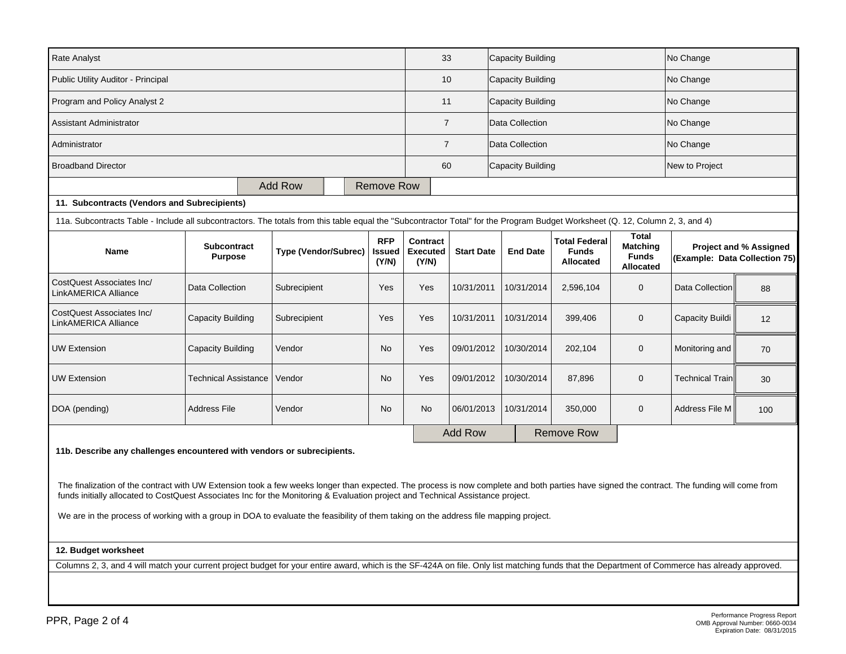| <b>Rate Analyst</b>                                                                                                                                                                                                                                                                                                                                                                                                                                                                                                                               | 33                                   |                             | Capacity Building        |                                      |                                      |                   | No Change         |                 |                                                   |                                                                     |                               |                               |
|---------------------------------------------------------------------------------------------------------------------------------------------------------------------------------------------------------------------------------------------------------------------------------------------------------------------------------------------------------------------------------------------------------------------------------------------------------------------------------------------------------------------------------------------------|--------------------------------------|-----------------------------|--------------------------|--------------------------------------|--------------------------------------|-------------------|-------------------|-----------------|---------------------------------------------------|---------------------------------------------------------------------|-------------------------------|-------------------------------|
| Public Utility Auditor - Principal                                                                                                                                                                                                                                                                                                                                                                                                                                                                                                                | 10                                   |                             | <b>Capacity Building</b> |                                      |                                      |                   | No Change         |                 |                                                   |                                                                     |                               |                               |
| Program and Policy Analyst 2                                                                                                                                                                                                                                                                                                                                                                                                                                                                                                                      | 11                                   |                             | Capacity Building        |                                      |                                      | No Change         |                   |                 |                                                   |                                                                     |                               |                               |
| Assistant Administrator                                                                                                                                                                                                                                                                                                                                                                                                                                                                                                                           | $\overline{7}$                       |                             | Data Collection          |                                      |                                      |                   | No Change         |                 |                                                   |                                                                     |                               |                               |
| Administrator                                                                                                                                                                                                                                                                                                                                                                                                                                                                                                                                     |                                      | $\overline{7}$              |                          | Data Collection                      |                                      |                   | No Change         |                 |                                                   |                                                                     |                               |                               |
| <b>Broadband Director</b>                                                                                                                                                                                                                                                                                                                                                                                                                                                                                                                         |                                      |                             |                          |                                      | 60                                   |                   | Capacity Building |                 |                                                   | New to Project                                                      |                               |                               |
|                                                                                                                                                                                                                                                                                                                                                                                                                                                                                                                                                   |                                      | Add Row                     |                          | Remove Row                           |                                      |                   |                   |                 |                                                   |                                                                     |                               |                               |
| 11. Subcontracts (Vendors and Subrecipients)                                                                                                                                                                                                                                                                                                                                                                                                                                                                                                      |                                      |                             |                          |                                      |                                      |                   |                   |                 |                                                   |                                                                     |                               |                               |
| 11a. Subcontracts Table - Include all subcontractors. The totals from this table equal the "Subcontractor Total" for the Program Budget Worksheet (Q. 12, Column 2, 3, and 4)                                                                                                                                                                                                                                                                                                                                                                     |                                      |                             |                          |                                      |                                      |                   |                   |                 |                                                   |                                                                     |                               |                               |
| <b>Name</b>                                                                                                                                                                                                                                                                                                                                                                                                                                                                                                                                       | <b>Subcontract</b><br><b>Purpose</b> | <b>Type (Vendor/Subrec)</b> |                          | <b>RFP</b><br><b>Issued</b><br>(Y/N) | Contract<br><b>Executed</b><br>(Y/N) | <b>Start Date</b> |                   | <b>End Date</b> | <b>Total Federal</b><br><b>Funds</b><br>Allocated | <b>Total</b><br><b>Matching</b><br><b>Funds</b><br><b>Allocated</b> | (Example: Data Collection 75) | <b>Project and % Assigned</b> |
| CostQuest Associates Inc/<br>LinkAMERICA Alliance                                                                                                                                                                                                                                                                                                                                                                                                                                                                                                 | Data Collection                      |                             | Subrecipient             |                                      | Yes                                  | 10/31/2011        |                   | 10/31/2014      | 2,596,104                                         | $\mathbf 0$                                                         | Data Collection               | 88                            |
| CostQuest Associates Inc/<br>LinkAMERICA Alliance                                                                                                                                                                                                                                                                                                                                                                                                                                                                                                 | Capacity Building                    |                             | Subrecipient             |                                      | Yes                                  | 10/31/2011        |                   | 10/31/2014      | 399,406                                           | $\mathbf{0}$                                                        | Capacity Buildi               | 12                            |
| <b>UW Extension</b>                                                                                                                                                                                                                                                                                                                                                                                                                                                                                                                               | Capacity Building                    |                             | Vendor                   |                                      | Yes                                  | 09/01/2012        |                   | 10/30/2014      | 202,104                                           | $\mathbf 0$                                                         | Monitoring and                | 70                            |
| <b>UW Extension</b>                                                                                                                                                                                                                                                                                                                                                                                                                                                                                                                               | <b>Technical Assistance</b>          |                             | Vendor                   |                                      | Yes                                  | 09/01/2012        |                   | 10/30/2014      | 87,896                                            | $\mathbf 0$                                                         | <b>Technical Train</b>        | 30                            |
| DOA (pending)<br><b>Address File</b>                                                                                                                                                                                                                                                                                                                                                                                                                                                                                                              |                                      | Vendor                      |                          | <b>No</b>                            | <b>No</b>                            | 06/01/2013        |                   | 10/31/2014      | 350,000                                           | $\mathbf 0$                                                         | Address File M                | 100                           |
|                                                                                                                                                                                                                                                                                                                                                                                                                                                                                                                                                   |                                      |                             |                          |                                      |                                      | <b>Add Row</b>    |                   |                 | <b>Remove Row</b>                                 |                                                                     |                               |                               |
| 11b. Describe any challenges encountered with vendors or subrecipients.<br>The finalization of the contract with UW Extension took a few weeks longer than expected. The process is now complete and both parties have signed the contract. The funding will come from<br>funds initially allocated to CostQuest Associates Inc for the Monitoring & Evaluation project and Technical Assistance project.<br>We are in the process of working with a group in DOA to evaluate the feasibility of them taking on the address file mapping project. |                                      |                             |                          |                                      |                                      |                   |                   |                 |                                                   |                                                                     |                               |                               |
| 12. Budget worksheet                                                                                                                                                                                                                                                                                                                                                                                                                                                                                                                              |                                      |                             |                          |                                      |                                      |                   |                   |                 |                                                   |                                                                     |                               |                               |
| Columns 2, 3, and 4 will match your current project budget for your entire award, which is the SF-424A on file. Only list matching funds that the Department of Commerce has already approved.                                                                                                                                                                                                                                                                                                                                                    |                                      |                             |                          |                                      |                                      |                   |                   |                 |                                                   |                                                                     |                               |                               |
|                                                                                                                                                                                                                                                                                                                                                                                                                                                                                                                                                   |                                      |                             |                          |                                      |                                      |                   |                   |                 |                                                   |                                                                     |                               |                               |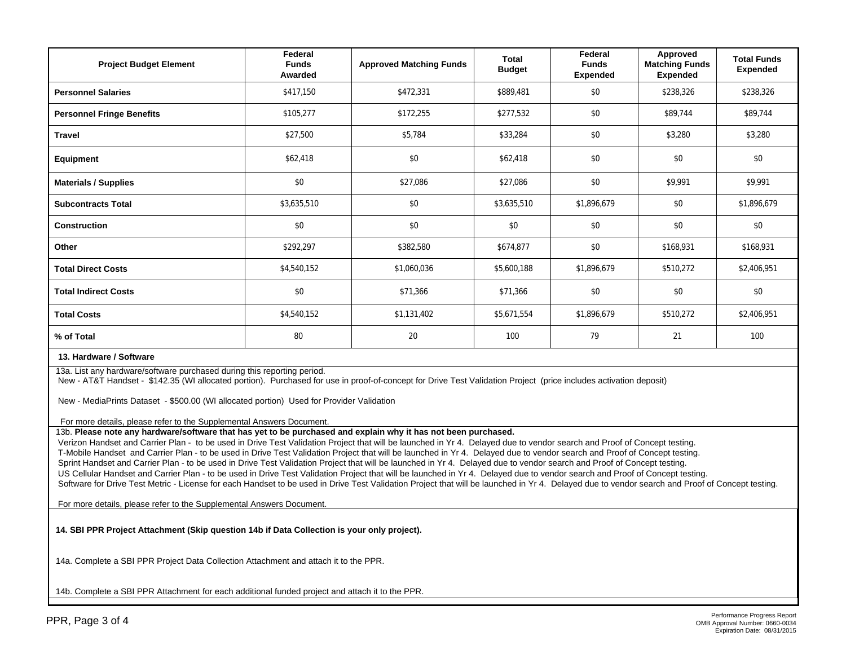| <b>Project Budget Element</b>                                                                                                                                                                                                                                                                                                            | Federal<br><b>Funds</b><br>Awarded | <b>Approved Matching Funds</b> | <b>Total</b><br><b>Budget</b> | Federal<br><b>Funds</b><br><b>Expended</b> | Approved<br><b>Matching Funds</b><br><b>Expended</b> | <b>Total Funds</b><br><b>Expended</b> |  |  |
|------------------------------------------------------------------------------------------------------------------------------------------------------------------------------------------------------------------------------------------------------------------------------------------------------------------------------------------|------------------------------------|--------------------------------|-------------------------------|--------------------------------------------|------------------------------------------------------|---------------------------------------|--|--|
| <b>Personnel Salaries</b>                                                                                                                                                                                                                                                                                                                | \$417,150                          | \$472,331                      | \$889,481                     | \$0                                        | \$238,326                                            | \$238,326                             |  |  |
| <b>Personnel Fringe Benefits</b>                                                                                                                                                                                                                                                                                                         | \$105,277                          | \$172,255                      | \$277,532                     | \$0                                        | \$89.744                                             | \$89,744                              |  |  |
| <b>Travel</b>                                                                                                                                                                                                                                                                                                                            | \$27,500                           | \$5,784                        | \$33,284                      | \$0                                        | \$3,280                                              | \$3,280                               |  |  |
| <b>Equipment</b>                                                                                                                                                                                                                                                                                                                         | \$62,418                           | \$0                            | \$62,418                      | \$0                                        | \$0                                                  | \$0                                   |  |  |
| <b>Materials / Supplies</b>                                                                                                                                                                                                                                                                                                              | \$0                                | \$27,086                       | \$27,086                      | \$0                                        | \$9,991                                              | \$9,991                               |  |  |
| <b>Subcontracts Total</b>                                                                                                                                                                                                                                                                                                                | \$3,635,510                        | \$0                            | \$3,635,510                   | \$1,896,679                                | \$0                                                  | \$1,896,679                           |  |  |
| <b>Construction</b>                                                                                                                                                                                                                                                                                                                      | \$0                                | \$0                            | \$0                           | \$0                                        | \$0                                                  | \$0                                   |  |  |
| Other                                                                                                                                                                                                                                                                                                                                    | \$292,297                          | \$382,580                      | \$674,877                     | \$0                                        | \$168,931                                            | \$168,931                             |  |  |
| <b>Total Direct Costs</b>                                                                                                                                                                                                                                                                                                                | \$4,540,152                        | \$1,060,036                    | \$5,600,188                   | \$1,896,679                                | \$510,272                                            | \$2,406,951                           |  |  |
| <b>Total Indirect Costs</b>                                                                                                                                                                                                                                                                                                              | \$0                                | \$71,366                       | \$71,366                      | \$0                                        | \$0                                                  | \$0                                   |  |  |
| <b>Total Costs</b>                                                                                                                                                                                                                                                                                                                       | \$4,540,152                        | \$1,131,402                    | \$5.671.554                   | \$1,896.679                                | \$510,272                                            | \$2,406,951                           |  |  |
| % of Total                                                                                                                                                                                                                                                                                                                               | 80                                 | 20                             | 100                           | 79                                         | 21                                                   | 100                                   |  |  |
| 13. Hardware / Software                                                                                                                                                                                                                                                                                                                  |                                    |                                |                               |                                            |                                                      |                                       |  |  |
| 13a. List any hardware/software purchased during this reporting period.<br>New - AT&T Handset - \$142.35 (WI allocated portion). Purchased for use in proof-of-concept for Drive Test Validation Project (price includes activation deposit)<br>New - MediaPrints Dataset - \$500.00 (WI allocated portion) Used for Provider Validation |                                    |                                |                               |                                            |                                                      |                                       |  |  |

For more details, please refer to the Supplemental Answers Document.

13b. **Please note any hardware/software that has yet to be purchased and explain why it has not been purchased.**

Verizon Handset and Carrier Plan - to be used in Drive Test Validation Project that will be launched in Yr 4. Delayed due to vendor search and Proof of Concept testing. T-Mobile Handset and Carrier Plan - to be used in Drive Test Validation Project that will be launched in Yr 4. Delayed due to vendor search and Proof of Concept testing. Sprint Handset and Carrier Plan - to be used in Drive Test Validation Project that will be launched in Yr 4. Delayed due to vendor search and Proof of Concept testing. US Cellular Handset and Carrier Plan - to be used in Drive Test Validation Project that will be launched in Yr 4. Delayed due to vendor search and Proof of Concept testing. Software for Drive Test Metric - License for each Handset to be used in Drive Test Validation Project that will be launched in Yr 4. Delayed due to vendor search and Proof of Concept testing.

For more details, please refer to the Supplemental Answers Document.

**14. SBI PPR Project Attachment (Skip question 14b if Data Collection is your only project).** 

14a. Complete a SBI PPR Project Data Collection Attachment and attach it to the PPR.

14b. Complete a SBI PPR Attachment for each additional funded project and attach it to the PPR.